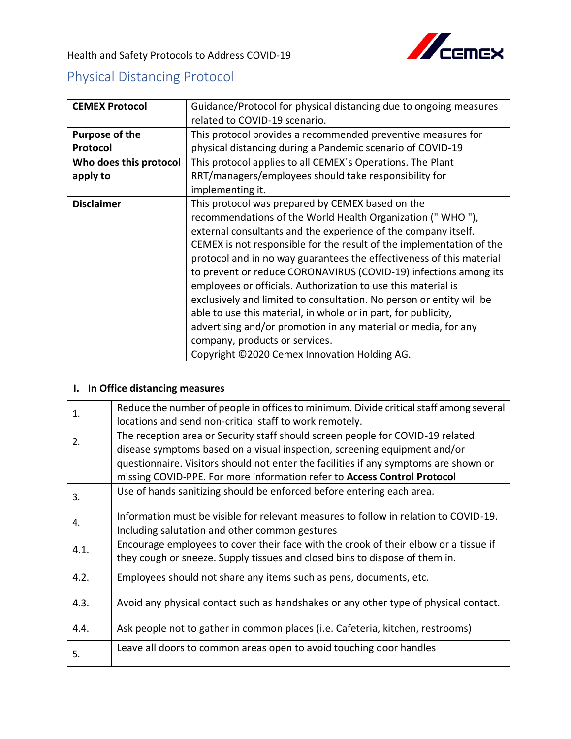

Health and Safety Protocols to Address COVID-19

## Physical Distancing Protocol

| <b>CEMEX Protocol</b>  | Guidance/Protocol for physical distancing due to ongoing measures    |
|------------------------|----------------------------------------------------------------------|
|                        | related to COVID-19 scenario.                                        |
| <b>Purpose of the</b>  | This protocol provides a recommended preventive measures for         |
| Protocol               | physical distancing during a Pandemic scenario of COVID-19           |
| Who does this protocol | This protocol applies to all CEMEX's Operations. The Plant           |
| apply to               | RRT/managers/employees should take responsibility for                |
|                        | implementing it.                                                     |
| <b>Disclaimer</b>      | This protocol was prepared by CEMEX based on the                     |
|                        | recommendations of the World Health Organization ("WHO"),            |
|                        | external consultants and the experience of the company itself.       |
|                        | CEMEX is not responsible for the result of the implementation of the |
|                        | protocol and in no way guarantees the effectiveness of this material |
|                        | to prevent or reduce CORONAVIRUS (COVID-19) infections among its     |
|                        | employees or officials. Authorization to use this material is        |
|                        | exclusively and limited to consultation. No person or entity will be |
|                        | able to use this material, in whole or in part, for publicity,       |
|                        | advertising and/or promotion in any material or media, for any       |
|                        | company, products or services.                                       |
|                        | Copyright ©2020 Cemex Innovation Holding AG.                         |

| In Office distancing measures<br>I. |                                                                                                                                                                                                                                                                                                                                 |  |
|-------------------------------------|---------------------------------------------------------------------------------------------------------------------------------------------------------------------------------------------------------------------------------------------------------------------------------------------------------------------------------|--|
| 1.                                  | Reduce the number of people in offices to minimum. Divide critical staff among several<br>locations and send non-critical staff to work remotely.                                                                                                                                                                               |  |
| 2.                                  | The reception area or Security staff should screen people for COVID-19 related<br>disease symptoms based on a visual inspection, screening equipment and/or<br>questionnaire. Visitors should not enter the facilities if any symptoms are shown or<br>missing COVID-PPE. For more information refer to Access Control Protocol |  |
| 3.                                  | Use of hands sanitizing should be enforced before entering each area.                                                                                                                                                                                                                                                           |  |
| 4.                                  | Information must be visible for relevant measures to follow in relation to COVID-19.<br>Including salutation and other common gestures                                                                                                                                                                                          |  |
| 4.1.                                | Encourage employees to cover their face with the crook of their elbow or a tissue if<br>they cough or sneeze. Supply tissues and closed bins to dispose of them in.                                                                                                                                                             |  |
| 4.2.                                | Employees should not share any items such as pens, documents, etc.                                                                                                                                                                                                                                                              |  |
| 4.3.                                | Avoid any physical contact such as handshakes or any other type of physical contact.                                                                                                                                                                                                                                            |  |
| 4.4.                                | Ask people not to gather in common places (i.e. Cafeteria, kitchen, restrooms)                                                                                                                                                                                                                                                  |  |
| 5.                                  | Leave all doors to common areas open to avoid touching door handles                                                                                                                                                                                                                                                             |  |